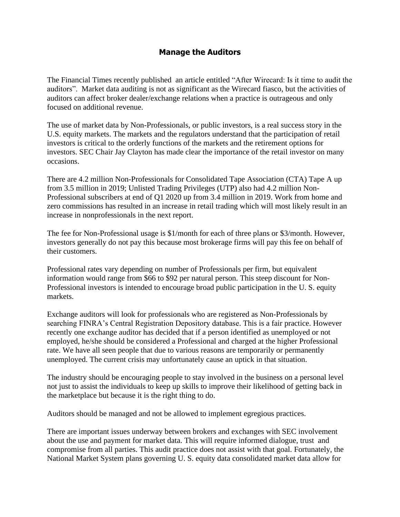## **Manage the Auditors**

The Financial Times recently published an article entitled "After Wirecard: Is it time to audit the auditors". Market data auditing is not as significant as the Wirecard fiasco, but the activities of auditors can affect broker dealer/exchange relations when a practice is outrageous and only focused on additional revenue.

The use of market data by Non-Professionals, or public investors, is a real success story in the U.S. equity markets. The markets and the regulators understand that the participation of retail investors is critical to the orderly functions of the markets and the retirement options for investors. SEC Chair Jay Clayton has made clear the importance of the retail investor on many occasions.

There are 4.2 million Non-Professionals for Consolidated Tape Association (CTA) Tape A up from 3.5 million in 2019; Unlisted Trading Privileges (UTP) also had 4.2 million Non-Professional subscribers at end of Q1 2020 up from 3.4 million in 2019. Work from home and zero commissions has resulted in an increase in retail trading which will most likely result in an increase in nonprofessionals in the next report.

The fee for Non-Professional usage is \$1/month for each of three plans or \$3/month. However, investors generally do not pay this because most brokerage firms will pay this fee on behalf of their customers.

Professional rates vary depending on number of Professionals per firm, but equivalent information would range from \$66 to \$92 per natural person. This steep discount for Non-Professional investors is intended to encourage broad public participation in the U. S. equity markets.

Exchange auditors will look for professionals who are registered as Non-Professionals by searching FINRA's Central Registration Depository database. This is a fair practice. However recently one exchange auditor has decided that if a person identified as unemployed or not employed, he/she should be considered a Professional and charged at the higher Professional rate. We have all seen people that due to various reasons are temporarily or permanently unemployed. The current crisis may unfortunately cause an uptick in that situation.

The industry should be encouraging people to stay involved in the business on a personal level not just to assist the individuals to keep up skills to improve their likelihood of getting back in the marketplace but because it is the right thing to do.

Auditors should be managed and not be allowed to implement egregious practices.

There are important issues underway between brokers and exchanges with SEC involvement about the use and payment for market data. This will require informed dialogue, trust and compromise from all parties. This audit practice does not assist with that goal. Fortunately, the National Market System plans governing U. S. equity data consolidated market data allow for